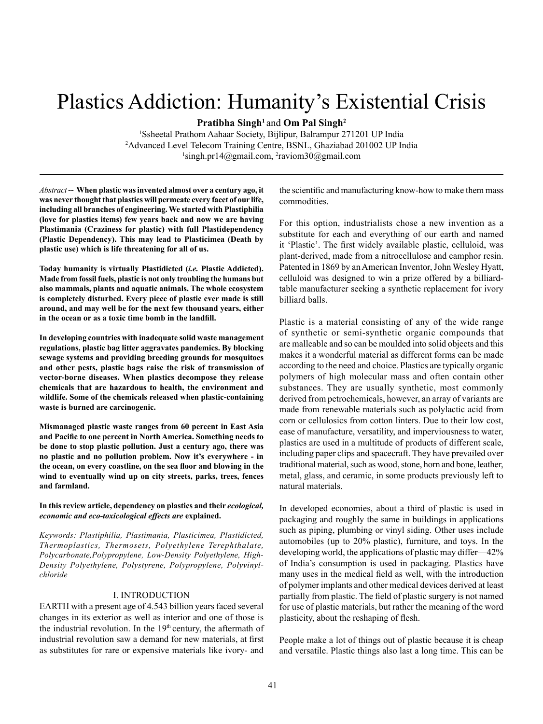# Plastics Addiction: Humanity's Existential Crisis

**Pratibha Singh1** and **Om Pal Singh2**

1 Ssheetal Prathom Aahaar Society, Bijlipur, Balrampur 271201 UP India 2 Advanced Level Telecom Training Centre, BSNL, Ghaziabad 201002 UP India <sup>1</sup>singh.pr14@gmail.com, <sup>2</sup>raviom30@gmail.com

*Abstract* **-- When plastic was invented almost over a century ago, it was never thought that plastics will permeate every facet of our life, including all branches of engineering. We started with Plastiphilia (love for plastics items) few years back and now we are having Plastimania (Craziness for plastic) with full Plastidependency (Plastic Dependency). This may lead to Plasticimea (Death by plastic use) which is life threatening for all of us.** 

**Today humanity is virtually Plastidicted (***i.e.* **Plastic Addicted). Made from fossil fuels, plastic is not only troubling the humans but also mammals, plants and aquatic animals. The whole ecosystem is completely disturbed. Every piece of plastic ever made is still around, and may well be for the next few thousand years, either in the ocean or as a toxic time bomb in the landfill.**

**In developing countries with inadequate solid waste management regulations, plastic bag litter aggravates pandemics. By blocking sewage systems and providing breeding grounds for mosquitoes and other pests, plastic bags raise the risk of transmission of vector-borne diseases. When plastics decompose they release chemicals that are hazardous to health, the environment and wildlife. Some of the chemicals released when plastic-containing waste is burned are carcinogenic.**

**Mismanaged plastic waste ranges from 60 percent in East Asia and Pacific to one percent in North America. Something needs to be done to stop plastic pollution. Just a century ago, there was no plastic and no pollution problem. Now it's everywhere - in the ocean, on every coastline, on the sea floor and blowing in the wind to eventually wind up on city streets, parks, trees, fences and farmland.**

**In this review article, dependency on plastics and their** *ecological, economic and eco-toxicological effects are* **explained.** 

*Keywords: Plastiphilia, Plastimania, Plasticimea, Plastidicted, Thermoplastics, Thermosets, Polyethylene Terephthalate, Polycarbonate,Polypropylene, Low-Density Polyethylene, High-Density Polyethylene, Polystyrene, Polypropylene, Polyvinylchloride* 

#### I. INTRODUCTION

EARTH with a present age of 4.543 billion years faced several changes in its exterior as well as interior and one of those is the industrial revolution. In the 19<sup>th</sup> century, the aftermath of industrial revolution saw a demand for new materials, at first as substitutes for rare or expensive materials like ivory- and

the scientific and manufacturing know-how to make them mass commodities.

For this option, industrialists chose a new invention as a substitute for each and everything of our earth and named it 'Plastic'. The first widely available plastic, celluloid, was plant-derived, made from a nitrocellulose and camphor resin. Patented in 1869 by an American Inventor, John Wesley Hyatt, celluloid was designed to win a prize offered by a billiardtable manufacturer seeking a synthetic replacement for ivory billiard balls.

Plastic is a material consisting of any of the wide range of synthetic or semi-synthetic organic compounds that are malleable and so can be moulded into solid objects and this makes it a wonderful material as different forms can be made according to the need and choice. Plastics are typically organic polymers of high molecular mass and often contain other substances. They are usually synthetic, most commonly derived from petrochemicals, however, an array of variants are made from renewable materials such as polylactic acid from corn or cellulosics from cotton linters. Due to their low cost, ease of manufacture, versatility, and imperviousness to water, plastics are used in a multitude of products of different scale, including paper clips and spacecraft. They have prevailed over traditional material, such as wood, stone, horn and bone, leather, metal, glass, and ceramic, in some products previously left to natural materials.

In developed economies, about a third of plastic is used in packaging and roughly the same in buildings in applications such as piping, plumbing or vinyl siding. Other uses include automobiles (up to 20% plastic), furniture, and toys. In the developing world, the applications of plastic may differ—42% of India's consumption is used in packaging. Plastics have many uses in the medical field as well, with the introduction of polymer implants and other medical devices derived at least partially from plastic. The field of plastic surgery is not named for use of plastic materials, but rather the meaning of the word plasticity, about the reshaping of flesh.

People make a lot of things out of plastic because it is cheap and versatile. Plastic things also last a long time. This can be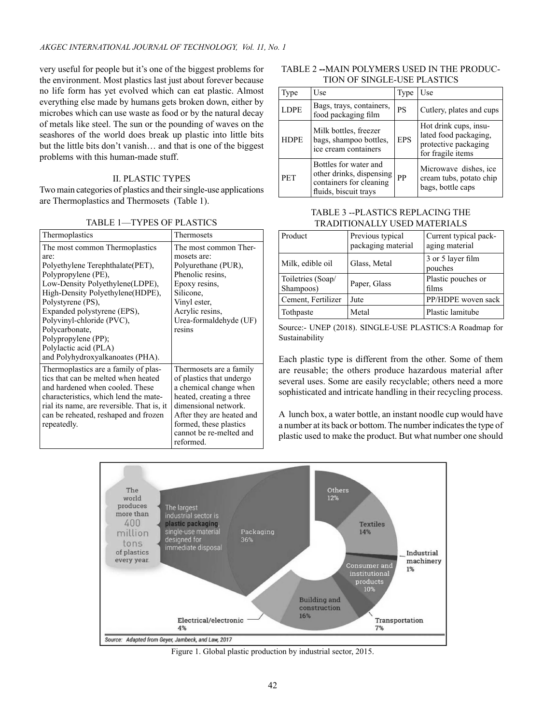very useful for people but it's one of the biggest problems for the environment. Most plastics last just about forever because no life form has yet evolved which can eat plastic. Almost everything else made by humans gets broken down, either by microbes which can use waste as food or by the natural decay of metals like steel. The sun or the pounding of waves on the seashores of the world does break up plastic into little bits but the little bits don't vanish… and that is one of the biggest problems with this human-made stuff.

## II. PLASTIC TYPES

Two main categories of plastics and their single-use applications are Thermoplastics and Thermosets (Table 1).

| Thermoplastics                             | Thermosets                                          |
|--------------------------------------------|-----------------------------------------------------|
| The most common Thermoplastics             | The most common Ther-                               |
| are:                                       | mosets are:                                         |
| Polyethylene Terephthalate (PET),          | Polyurethane (PUR),                                 |
| Polypropylene (PE),                        | Phenolic resins.                                    |
| Low-Density Polyethylene(LDPE),            | Epoxy resins,                                       |
| High-Density Polyethylene(HDPE),           | Silicone.                                           |
| Polystyrene (PS),                          | Vinyl ester,                                        |
| Expanded polystyrene (EPS),                | Acrylic resins,                                     |
| Polyvinyl-chloride (PVC),                  | Urea-formaldehyde (UF)                              |
| Polycarbonate,                             | resins                                              |
| Polypropylene (PP);                        |                                                     |
| Polylactic acid (PLA)                      |                                                     |
| and Polyhydroxyalkanoates (PHA).           |                                                     |
| Thermoplastics are a family of plas-       | Thermosets are a family                             |
| tics that can be melted when heated        | of plastics that undergo                            |
| and hardened when cooled. These            | a chemical change when                              |
| characteristics, which lend the mate-      | heated, creating a three                            |
| rial its name, are reversible. That is, it | dimensional network.                                |
| can be reheated, reshaped and frozen       |                                                     |
| repeatedly.                                |                                                     |
|                                            | cannot be re-melted and                             |
|                                            | reformed.                                           |
|                                            | After they are heated and<br>formed, these plastics |

TABLE 2 **--**MAIN POLYMERS USED IN THE PRODUC-TION OF SINGLE-USE PLASTICS

| Type        | Use                                                                                                   | Type       | Use                                                                                         |
|-------------|-------------------------------------------------------------------------------------------------------|------------|---------------------------------------------------------------------------------------------|
| <b>LDPE</b> | Bags, trays, containers,<br>food packaging film                                                       | <b>PS</b>  | Cutlery, plates and cups                                                                    |
| <b>HDPE</b> | Milk bottles, freezer<br>bags, shampoo bottles,<br>ice cream containers                               | <b>EPS</b> | Hot drink cups, insu-<br>lated food packaging,<br>protective packaging<br>for fragile items |
| <b>PET</b>  | Bottles for water and<br>other drinks, dispensing<br>containers for cleaning<br>fluids, biscuit trays | PP         | Microwave dishes, ice<br>cream tubs, potato chip<br>bags, bottle caps                       |

# TABLE 3 --PLASTICS REPLACING THE TRADITIONALLY USED MATERIALS

| Product                        | Previous typical<br>packaging material | Current typical pack-<br>aging material |
|--------------------------------|----------------------------------------|-----------------------------------------|
| Milk, edible oil               | Glass, Metal                           | 3 or 5 layer film<br>pouches            |
| Toiletries (Soap/<br>Shampoos) | Paper, Glass                           | Plastic pouches or<br>films             |
| Cement, Fertilizer             | Jute                                   | PP/HDPE woven sack                      |
| Tothpaste                      | Metal                                  | Plastic lamitube                        |

Source:- UNEP (2018). SINGLE-USE PLASTICS:A Roadmap for Sustainability

Each plastic type is different from the other. Some of them are reusable; the others produce hazardous material after several uses. Some are easily recyclable; others need a more sophisticated and intricate handling in their recycling process.

A lunch box, a water bottle, an instant noodle cup would have a number at its back or bottom. The number indicates the type of plastic used to make the product. But what number one should



Figure 1. Global plastic production by industrial sector, 2015.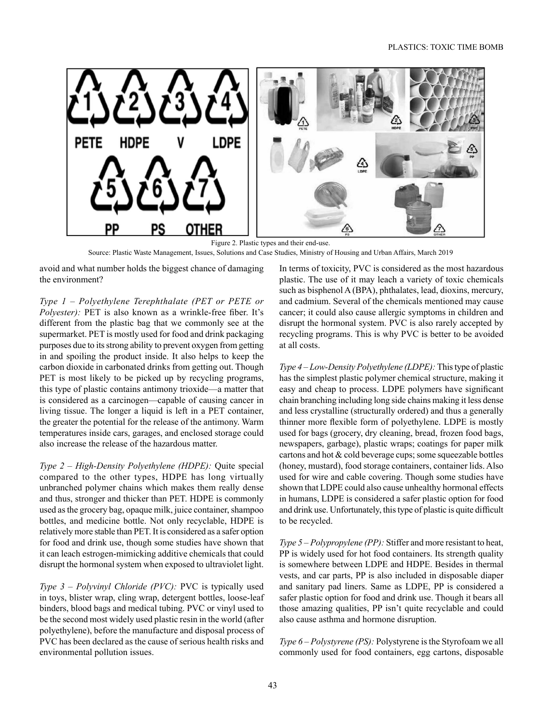

Source: Plastic Waste Management, Issues, Solutions and Case Studies, Ministry of Housing and Urban Affairs, March 2019 Figure 2. Plastic types and their end-use.

avoid and what number holds the biggest chance of damaging the environment?

*Type 1 – Polyethylene Terephthalate (PET or PETE or Polyester):* PET is also known as a wrinkle-free fiber. It's different from the plastic bag that we commonly see at the supermarket. PET is mostly used for food and drink packaging purposes due to its strong ability to prevent oxygen from getting in and spoiling the product inside. It also helps to keep the carbon dioxide in carbonated drinks from getting out. Though PET is most likely to be picked up by recycling programs, this type of plastic contains antimony trioxide—a matter that is considered as a carcinogen—capable of causing cancer in living tissue. The longer a liquid is left in a PET container, the greater the potential for the release of the antimony. Warm temperatures inside cars, garages, and enclosed storage could also increase the release of the hazardous matter.

*Type 2 – High-Density Polyethylene (HDPE):* Quite special compared to the other types, HDPE has long virtually unbranched polymer chains which makes them really dense and thus, stronger and thicker than PET. HDPE is commonly used as the grocery bag, opaque milk, juice container, shampoo bottles, and medicine bottle. Not only recyclable, HDPE is relatively more stable than PET. It is considered as a safer option for food and drink use, though some studies have shown that it can leach estrogen-mimicking additive chemicals that could disrupt the hormonal system when exposed to ultraviolet light.

*Type 3 – Polyvinyl Chloride (PVC):* PVC is typically used in toys, blister wrap, cling wrap, detergent bottles, loose-leaf binders, blood bags and medical tubing. PVC or vinyl used to be the second most widely used plastic resin in the world (after polyethylene), before the manufacture and disposal process of PVC has been declared as the cause of serious health risks and environmental pollution issues.

In terms of toxicity, PVC is considered as the most hazardous plastic. The use of it may leach a variety of toxic chemicals such as bisphenol A (BPA), phthalates, lead, dioxins, mercury, and cadmium. Several of the chemicals mentioned may cause cancer; it could also cause allergic symptoms in children and disrupt the hormonal system. PVC is also rarely accepted by recycling programs. This is why PVC is better to be avoided at all costs.

*Type 4 – Low-Density Polyethylene (LDPE):* This type of plastic has the simplest plastic polymer chemical structure, making it easy and cheap to process. LDPE polymers have significant chain branching including long side chains making it less dense and less crystalline (structurally ordered) and thus a generally thinner more flexible form of polyethylene. LDPE is mostly used for bags (grocery, dry cleaning, bread, frozen food bags, newspapers, garbage), plastic wraps; coatings for paper milk cartons and hot & cold beverage cups; some squeezable bottles (honey, mustard), food storage containers, container lids. Also used for wire and cable covering. Though some studies have shown that LDPE could also cause unhealthy hormonal effects in humans, LDPE is considered a safer plastic option for food and drink use. Unfortunately, this type of plastic is quite difficult to be recycled.

*Type 5 – Polypropylene (PP):* Stiffer and more resistant to heat, PP is widely used for hot food containers. Its strength quality is somewhere between LDPE and HDPE. Besides in thermal vests, and car parts, PP is also included in disposable diaper and sanitary pad liners. Same as LDPE, PP is considered a safer plastic option for food and drink use. Though it bears all those amazing qualities, PP isn't quite recyclable and could also cause asthma and hormone disruption.

*Type 6 – Polystyrene (PS):* Polystyrene is the Styrofoam we all commonly used for food containers, egg cartons, disposable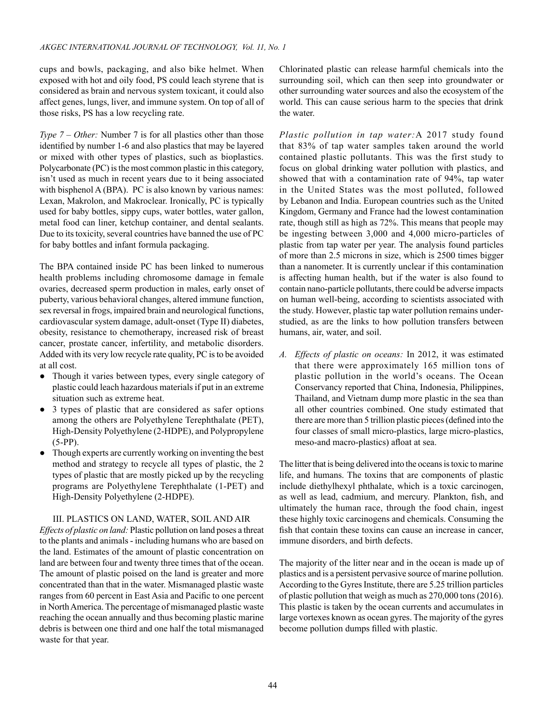cups and bowls, packaging, and also bike helmet. When exposed with hot and oily food, PS could leach styrene that is considered as brain and nervous system toxicant, it could also affect genes, lungs, liver, and immune system. On top of all of those risks, PS has a low recycling rate.

*Type 7 – Other:* Number 7 is for all plastics other than those identified by number 1-6 and also plastics that may be layered or mixed with other types of plastics, such as bioplastics. Polycarbonate (PC) is the most common plastic in this category, isn't used as much in recent years due to it being associated with bisphenol A (BPA). PC is also known by various names: Lexan, Makrolon, and Makroclear. Ironically, PC is typically used for baby bottles, sippy cups, water bottles, water gallon, metal food can liner, ketchup container, and dental sealants. Due to its toxicity, several countries have banned the use of PC for baby bottles and infant formula packaging.

The BPA contained inside PC has been linked to numerous health problems including chromosome damage in female ovaries, decreased sperm production in males, early onset of puberty, various behavioral changes, altered immune function, sex reversal in frogs, impaired brain and neurological functions, cardiovascular system damage, adult-onset (Type II) diabetes, obesity, resistance to chemotherapy, increased risk of breast cancer, prostate cancer, infertility, and metabolic disorders. Added with its very low recycle rate quality, PC is to be avoided at all cost.

- Though it varies between types, every single category of plastic could leach hazardous materials if put in an extreme situation such as extreme heat.
- 3 types of plastic that are considered as safer options among the others are Polyethylene Terephthalate (PET), High-Density Polyethylene (2-HDPE), and Polypropylene (5-PP).
- Though experts are currently working on inventing the best method and strategy to recycle all types of plastic, the 2 types of plastic that are mostly picked up by the recycling programs are Polyethylene Terephthalate (1-PET) and High-Density Polyethylene (2-HDPE).

#### III. PLASTICS ON LAND, WATER, SOIL AND AIR

*Effects of plastic on land:* Plastic pollution on land poses a threat to the plants and animals - including humans who are based on the land. Estimates of the amount of plastic concentration on land are between four and twenty three times that of the ocean. The amount of plastic poised on the land is greater and more concentrated than that in the water. Mismanaged plastic waste ranges from 60 percent in East Asia and Pacific to one percent in North America. The percentage of mismanaged plastic waste reaching the ocean annually and thus becoming plastic marine debris is between one third and one half the total mismanaged waste for that year.

Chlorinated plastic can release harmful chemicals into the surrounding soil, which can then seep into groundwater or other surrounding water sources and also the ecosystem of the world. This can cause serious harm to the species that drink the water.

*Plastic pollution in tap water:*A 2017 study found that 83% of tap water samples taken around the world contained plastic pollutants. This was the first study to focus on global drinking water pollution with plastics, and showed that with a contamination rate of 94%, tap water in the United States was the most polluted, followed by Lebanon and India. European countries such as the United Kingdom, Germany and France had the lowest contamination rate, though still as high as 72%. This means that people may be ingesting between 3,000 and 4,000 micro-particles of plastic from tap water per year. The analysis found particles of more than 2.5 microns in size, which is 2500 times bigger than a nanometer. It is currently unclear if this contamination is affecting human health, but if the water is also found to contain nano-particle pollutants, there could be adverse impacts on human well-being, according to scientists associated with the study. However, plastic tap water pollution remains understudied, as are the links to how pollution transfers between humans, air, water, and soil.

*A. Effects of plastic on oceans:* In 2012, it was estimated that there were approximately 165 million tons of plastic pollution in the world's oceans. The Ocean Conservancy reported that China, Indonesia, Philippines, Thailand, and Vietnam dump more plastic in the sea than all other countries combined. One study estimated that there are more than 5 trillion plastic pieces (defined into the four classes of small micro-plastics, large micro-plastics, meso-and macro-plastics) afloat at sea.

The litter that is being delivered into the oceans is toxic to marine life, and humans. The toxins that are components of plastic include diethylhexyl phthalate, which is a toxic carcinogen, as well as lead, cadmium, and mercury. Plankton, fish, and ultimately the human race, through the food chain, ingest these highly toxic carcinogens and chemicals. Consuming the fish that contain these toxins can cause an increase in cancer, immune disorders, and birth defects.

The majority of the litter near and in the ocean is made up of plastics and is a persistent pervasive source of marine pollution. According to the Gyres Institute, there are 5.25 trillion particles of plastic pollution that weigh as much as 270,000 tons (2016). This plastic is taken by the ocean currents and accumulates in large vortexes known as ocean gyres. The majority of the gyres become pollution dumps filled with plastic.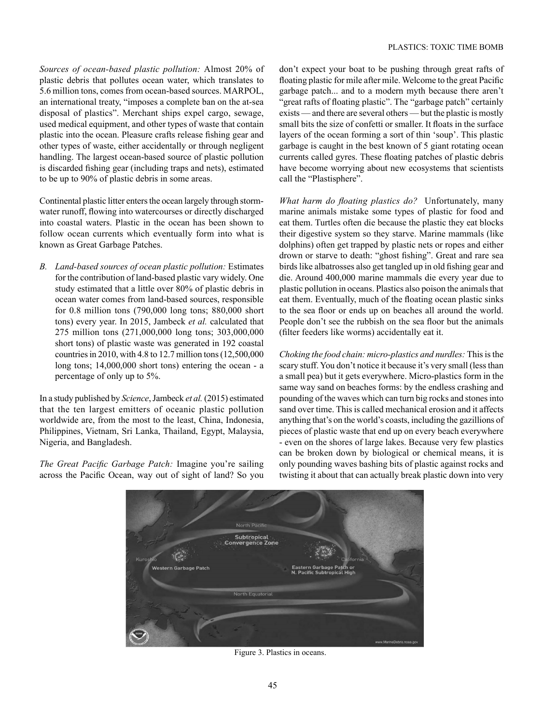*Sources of ocean-based plastic pollution:* Almost 20% of plastic debris that pollutes ocean water, which translates to 5.6 million tons, comes from ocean-based sources. MARPOL, an international treaty, "imposes a complete ban on the at-sea disposal of plastics". Merchant ships expel cargo, sewage, used medical equipment, and other types of waste that contain plastic into the ocean. Pleasure crafts release fishing gear and other types of waste, either accidentally or through negligent handling. The largest ocean-based source of plastic pollution is discarded fishing gear (including traps and nets), estimated to be up to 90% of plastic debris in some areas.

Continental plastic litter enters the ocean largely through stormwater runoff, flowing into watercourses or directly discharged into coastal waters. Plastic in the ocean has been shown to follow ocean currents which eventually form into what is known as Great Garbage Patches.

*B. Land-based sources of ocean plastic pollution:* Estimates for the contribution of land-based plastic vary widely. One study estimated that a little over 80% of plastic debris in ocean water comes from land-based sources, responsible for 0.8 million tons (790,000 long tons; 880,000 short tons) every year. In 2015, Jambeck *et al.* calculated that 275 million tons (271,000,000 long tons; 303,000,000 short tons) of plastic waste was generated in 192 coastal countries in 2010, with 4.8 to 12.7 million tons (12,500,000 long tons; 14,000,000 short tons) entering the ocean - a percentage of only up to 5%.

In a study published by *Science*, Jambeck *et al.*(2015) estimated that the ten largest emitters of oceanic plastic pollution worldwide are, from the most to the least, China, Indonesia, Philippines, Vietnam, Sri Lanka, Thailand, Egypt, Malaysia, Nigeria, and Bangladesh.

*The Great Pacific Garbage Patch:* Imagine you're sailing across the Pacific Ocean, way out of sight of land? So you don't expect your boat to be pushing through great rafts of floating plastic for mile after mile. Welcome to the great Pacific garbage patch... and to a modern myth because there aren't "great rafts of floating plastic". The "garbage patch" certainly exists — and there are several others — but the plastic is mostly small bits the size of confetti or smaller. It floats in the surface layers of the ocean forming a sort of thin 'soup'. This plastic garbage is caught in the best known of 5 giant rotating ocean currents called gyres. These floating patches of plastic debris have become worrying about new ecosystems that scientists call the "Plastisphere".

*What harm do floating plastics do?* Unfortunately, many marine animals mistake some types of plastic for food and eat them. Turtles often die because the plastic they eat blocks their digestive system so they starve. Marine mammals (like dolphins) often get trapped by plastic nets or ropes and either drown or starve to death: "ghost fishing". Great and rare sea birds like albatrosses also get tangled up in old fishing gear and die. Around 400,000 marine mammals die every year due to plastic pollution in oceans. Plastics also poison the animals that eat them. Eventually, much of the floating ocean plastic sinks to the sea floor or ends up on beaches all around the world. People don't see the rubbish on the sea floor but the animals (filter feeders like worms) accidentally eat it.

*Choking the food chain: micro-plastics and nurdles:* This is the scary stuff. You don't notice it because it's very small (less than a small pea) but it gets everywhere. Micro-plastics form in the same way sand on beaches forms: by the endless crashing and pounding of the waves which can turn big rocks and stones into sand over time. This is called mechanical erosion and it affects anything that's on the world's coasts, including the gazillions of pieces of plastic waste that end up on every beach everywhere - even on the shores of large lakes. Because very few plastics can be broken down by biological or chemical means, it is only pounding waves bashing bits of plastic against rocks and twisting it about that can actually break plastic down into very



Figure 3. Plastics in oceans.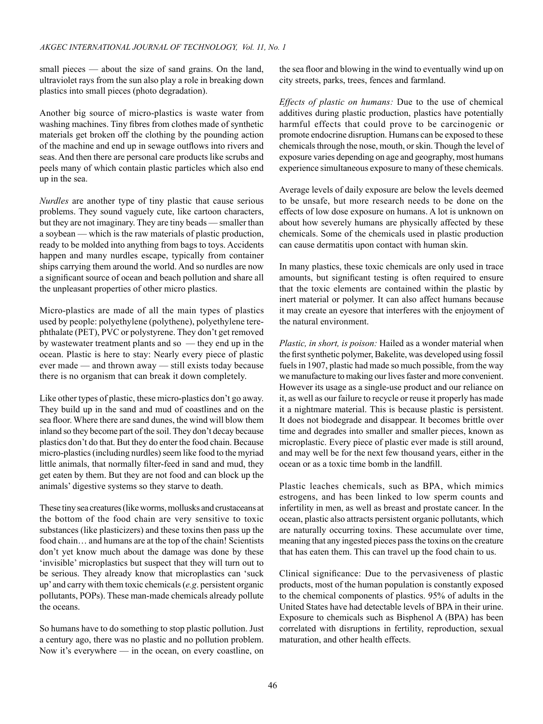small pieces — about the size of sand grains. On the land, ultraviolet rays from the sun also play a role in breaking down plastics into small pieces (photo degradation).

Another big source of micro-plastics is waste water from washing machines. Tiny fibres from clothes made of synthetic materials get broken off the clothing by the pounding action of the machine and end up in sewage outflows into rivers and seas. And then there are personal care products like scrubs and peels many of which contain plastic particles which also end up in the sea.

*Nurdles* are another type of tiny plastic that cause serious problems. They sound vaguely cute, like cartoon characters, but they are not imaginary. They are tiny beads — smaller than a soybean — which is the raw materials of plastic production, ready to be molded into anything from bags to toys. Accidents happen and many nurdles escape, typically from container ships carrying them around the world. And so nurdles are now a significant source of ocean and beach pollution and share all the unpleasant properties of other micro plastics.

Micro-plastics are made of all the main types of plastics used by people: polyethylene (polythene), polyethylene terephthalate (PET), PVC or polystyrene. They don't get removed by wastewater treatment plants and so — they end up in the ocean. Plastic is here to stay: Nearly every piece of plastic ever made — and thrown away — still exists today because there is no organism that can break it down completely.

Like other types of plastic, these micro-plastics don't go away. They build up in the sand and mud of coastlines and on the sea floor. Where there are sand dunes, the wind will blow them inland so they become part of the soil. They don't decay because plastics don't do that. But they do enter the food chain. Because micro-plastics (including nurdles) seem like food to the myriad little animals, that normally filter-feed in sand and mud, they get eaten by them. But they are not food and can block up the animals' digestive systems so they starve to death.

These tiny sea creatures (like worms, mollusks and crustaceans at the bottom of the food chain are very sensitive to toxic substances (like plasticizers) and these toxins then pass up the food chain… and humans are at the top of the chain! Scientists don't yet know much about the damage was done by these 'invisible' microplastics but suspect that they will turn out to be serious. They already know that microplastics can 'suck up'and carry with them toxic chemicals (*e.g*. persistent organic pollutants, POPs). These man-made chemicals already pollute the oceans.

So humans have to do something to stop plastic pollution. Just a century ago, there was no plastic and no pollution problem. Now it's everywhere — in the ocean, on every coastline, on the sea floor and blowing in the wind to eventually wind up on city streets, parks, trees, fences and farmland.

*Effects of plastic on humans:* Due to the use of chemical additives during plastic production, plastics have potentially harmful effects that could prove to be carcinogenic or promote endocrine disruption. Humans can be exposed to these chemicals through the nose, mouth, or skin. Though the level of exposure varies depending on age and geography, most humans experience simultaneous exposure to many of these chemicals.

Average levels of daily exposure are below the levels deemed to be unsafe, but more research needs to be done on the effects of low dose exposure on humans. A lot is unknown on about how severely humans are physically affected by these chemicals. Some of the chemicals used in plastic production can cause dermatitis upon contact with human skin.

In many plastics, these toxic chemicals are only used in trace amounts, but significant testing is often required to ensure that the toxic elements are contained within the plastic by inert material or polymer. It can also affect humans because it may create an eyesore that interferes with the enjoyment of the natural environment.

*Plastic, in short, is poison:* Hailed as a wonder material when the first synthetic polymer, Bakelite, was developed using fossil fuels in 1907, plastic had made so much possible, from the way we manufacture to making our lives faster and more convenient. However its usage as a single-use product and our reliance on it, as well as our failure to recycle or reuse it properly has made it a nightmare material. This is because plastic is persistent. It does not biodegrade and disappear. It becomes brittle over time and degrades into smaller and smaller pieces, known as microplastic. Every piece of plastic ever made is still around, and may well be for the next few thousand years, either in the ocean or as a toxic time bomb in the landfill.

Plastic leaches chemicals, such as BPA, which mimics estrogens, and has been linked to low sperm counts and infertility in men, as well as breast and prostate cancer. In the ocean, plastic also attracts persistent organic pollutants, which are naturally occurring toxins. These accumulate over time, meaning that any ingested pieces pass the toxins on the creature that has eaten them. This can travel up the food chain to us.

Clinical significance: Due to the pervasiveness of plastic products, most of the human population is constantly exposed to the chemical components of plastics. 95% of adults in the United States have had detectable levels of BPA in their urine. Exposure to chemicals such as Bisphenol A (BPA) has been correlated with disruptions in fertility, reproduction, sexual maturation, and other health effects.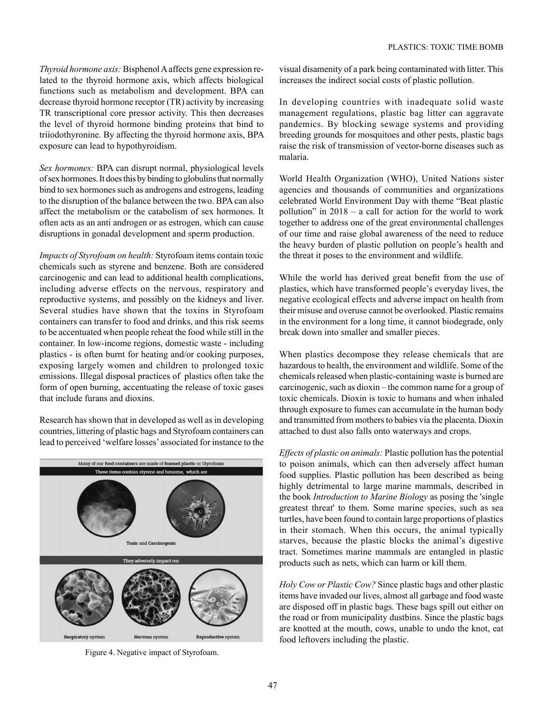*Thyroid hormone axis:* Bisphenol A affects gene expression related to the thyroid hormone axis, which affects biological functions such as metabolism and development. BPA can decrease thyroid hormone receptor (TR) activity by increasing TR transcriptional core pressor activity. This then decreases the level of thyroid hormone binding proteins that bind to triiodothyronine. By affecting the thyroid hormone axis, BPA exposure can lead to hypothyroidism.

*Sex hormones:* BPA can disrupt normal, physiological levels ofsex hormones. It does this by binding to globulinsthat normally bind to sex hormones such as androgens and estrogens, leading to the disruption of the balance between the two. BPA can also affect the metabolism or the catabolism of sex hormones. It often acts as an anti androgen or as estrogen, which can cause disruptions in gonadal development and sperm production.

*Impacts of Styrofoam on health:* Styrofoam items contain toxic chemicals such as styrene and benzene. Both are considered carcinogenic and can lead to additional health complications, including adverse effects on the nervous, respiratory and reproductive systems, and possibly on the kidneys and liver. Several studies have shown that the toxins in Styrofoam containers can transfer to food and drinks, and this risk seems to be accentuated when people reheat the food while still in the container. In low-income regions, domestic waste - including plastics - is often burnt for heating and/or cooking purposes, exposing largely women and children to prolonged toxic emissions. Illegal disposal practices of plastics often take the form of open burning, accentuating the release of toxic gases that include furans and dioxins.

Research has shown that in developed as well as in developing countries, littering of plastic bags and Styrofoam containers can lead to perceived 'welfare losses' associated for instance to the



Figure 4. Negative impact of Styrofoam.

visual disamenity of a park being contaminated with litter. This increases the indirect social costs of plastic pollution.

In developing countries with inadequate solid waste management regulations, plastic bag litter can aggravate pandemics. By blocking sewage systems and providing breeding grounds for mosquitoes and other pests, plastic bags raise the risk of transmission of vector-borne diseases such as malaria.

World Health Organization (WHO), United Nations sister agencies and thousands of communities and organizations celebrated World Environment Day with theme "Beat plastic pollution" in 2018 – a call for action for the world to work together to address one of the great environmental challenges of our time and raise global awareness of the need to reduce the heavy burden of plastic pollution on people's health and the threat it poses to the environment and wildlife.

While the world has derived great benefit from the use of plastics, which have transformed people's everyday lives, the negative ecological effects and adverse impact on health from their misuse and overuse cannot be overlooked. Plastic remains in the environment for a long time, it cannot biodegrade, only break down into smaller and smaller pieces.

When plastics decompose they release chemicals that are hazardous to health, the environment and wildlife. Some of the chemicals released when plastic-containing waste is burned are carcinogenic, such as dioxin – the common name for a group of toxic chemicals. Dioxin is toxic to humans and when inhaled through exposure to fumes can accumulate in the human body and transmitted from mothers to babies via the placenta. Dioxin attached to dust also falls onto waterways and crops.

*Effects of plastic on animals:* Plastic pollution has the potential to poison animals, which can then adversely affect human food supplies. Plastic pollution has been described as being highly detrimental to large marine mammals, described in the book *Introduction to Marine Biology* as posing the 'single greatest threat' to them. Some marine species, such as sea turtles, have been found to contain large proportions of plastics in their stomach. When this occurs, the animal typically starves, because the plastic blocks the animal's digestive tract. Sometimes marine mammals are entangled in plastic products such as nets, which can harm or kill them.

*Holy Cow or Plastic Cow?* Since plastic bags and other plastic items have invaded our lives, almost all garbage and food waste are disposed off in plastic bags. These bags spill out either on the road or from municipality dustbins. Since the plastic bags are knotted at the mouth, cows, unable to undo the knot, eat food leftovers including the plastic.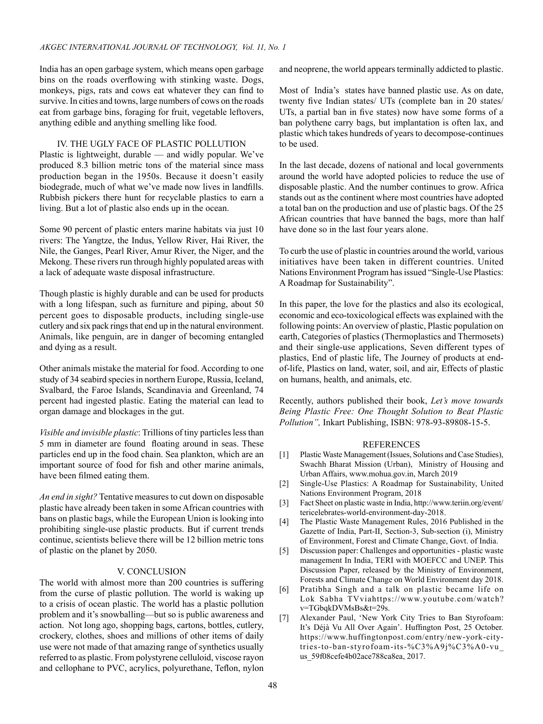India has an open garbage system, which means open garbage bins on the roads overflowing with stinking waste. Dogs, monkeys, pigs, rats and cows eat whatever they can find to survive. In cities and towns, large numbers of cows on the roads eat from garbage bins, foraging for fruit, vegetable leftovers, anything edible and anything smelling like food.

# IV. THE UGLY FACE OF PLASTIC POLLUTION

Plastic is lightweight, durable — and widly popular. We've produced 8.3 billion metric tons of the material since mass production began in the 1950s. Because it doesn't easily biodegrade, much of what we've made now lives in landfills. Rubbish pickers there hunt for recyclable plastics to earn a living. But a lot of plastic also ends up in the ocean.

Some 90 percent of plastic enters marine habitats via just 10 rivers: The Yangtze, the Indus, Yellow River, Hai River, the Nile, the Ganges, Pearl River, Amur River, the Niger, and the Mekong. These rivers run through highly populated areas with a lack of adequate waste disposal infrastructure.

Though plastic is highly durable and can be used for products with a long lifespan, such as furniture and piping, about 50 percent goes to disposable products, including single-use cutlery and six pack rings that end up in the natural environment. Animals, like penguin, are in danger of becoming entangled and dying as a result.

Other animals mistake the material for food. According to one study of 34 seabird species in northern Europe, Russia, Iceland, Svalbard, the Faroe Islands, Scandinavia and Greenland, 74 percent had ingested plastic. Eating the material can lead to organ damage and blockages in the gut.

*Visible and invisible plastic*: Trillions of tiny particles less than 5 mm in diameter are found floating around in seas. These particles end up in the food chain. Sea plankton, which are an important source of food for fish and other marine animals, have been filmed eating them.

*An end in sight?* Tentative measures to cut down on disposable plastic have already been taken in some African countries with bans on plastic bags, while the European Union is looking into prohibiting single-use plastic products. But if current trends continue, scientists believe there will be 12 billion metric tons of plastic on the planet by 2050.

## V. CONCLUSION

The world with almost more than 200 countries is suffering from the curse of plastic pollution. The world is waking up to a crisis of ocean plastic. The world has a plastic pollution problem and it's snowballing—but so is public awareness and action. Not long ago, shopping bags, cartons, bottles, cutlery, crockery, clothes, shoes and millions of other items of daily use were not made of that amazing range of synthetics usually referred to as plastic. From polystyrene celluloid, viscose rayon and cellophane to PVC, acrylics, polyurethane, Teflon, nylon and neoprene, the world appears terminally addicted to plastic.

Most of India's states have banned plastic use. As on date, twenty five Indian states/ UTs (complete ban in 20 states/ UTs, a partial ban in five states) now have some forms of a ban polythene carry bags, but implantation is often lax, and plastic which takes hundreds of years to decompose-continues to be used.

In the last decade, dozens of national and local governments around the world have adopted policies to reduce the use of disposable plastic. And the number continues to grow. Africa stands out as the continent where most countries have adopted a total ban on the production and use of plastic bags. Of the 25 African countries that have banned the bags, more than half have done so in the last four years alone.

To curb the use of plastic in countries around the world, various initiatives have been taken in different countries. United Nations Environment Program has issued "Single-Use Plastics: A Roadmap for Sustainability".

In this paper, the love for the plastics and also its ecological, economic and eco-toxicological effects was explained with the following points: An overview of plastic, Plastic population on earth, Categories of plastics (Thermoplastics and Thermosets) and their single-use applications, Seven different types of plastics, End of plastic life, The Journey of products at endof-life, Plastics on land, water, soil, and air, Effects of plastic on humans, health, and animals, etc.

Recently, authors published their book, *Let's move towards Being Plastic Free: One Thought Solution to Beat Plastic Pollution",* Inkart Publishing, ISBN: 978-93-89808-15-5.

## **REFERENCES**

- [1] Plastic Waste Management (Issues, Solutions and Case Studies), Swachh Bharat Mission (Urban), Ministry of Housing and Urban Affairs, www.mohua.gov.in, March 2019
- [2] Single-Use Plastics: A Roadmap for Sustainability, United Nations Environment Program, 2018
- [3] Fact Sheet on plastic waste in India, http://www.teriin.org/event/ tericelebrates-world-environment-day-2018.
- [4] The Plastic Waste Management Rules, 2016 Published in the Gazette of India, Part-II, Section-3, Sub-section (i), Ministry of Environment, Forest and Climate Change, Govt. of India.
- [5] Discussion paper: Challenges and opportunities plastic waste management In India, TERI with MOEFCC and UNEP. This Discussion Paper, released by the Ministry of Environment, Forests and Climate Change on World Environment day 2018.
- [6] Pratibha Singh and a talk on plastic became life on Lok Sabha TVviahttps://www.youtube.com/watch? v=TGbqkDVMsBs&t=29s.
- [7] Alexander Paul, 'New York City Tries to Ban Styrofoam: It's Déjà Vu All Over Again'. Huffington Post, 25 October. https://www.huffingtonpost.com/entry/new-york-citytries-to-ban-styrofoam-its-%C3%A9j%C3%A0-vu\_ us\_59f08cefe4b02ace788ca8ea, 2017.